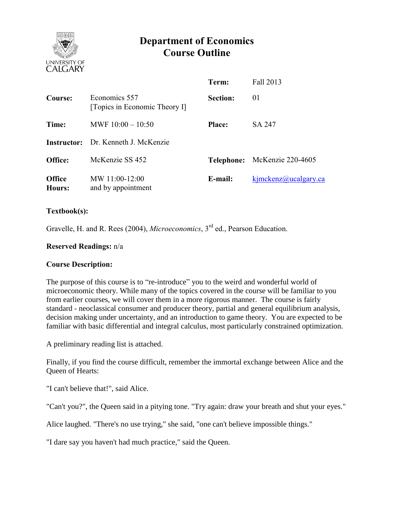

# **Department of Economics Course Outline**

|                         |                                                | Term:           | Fall 2013                    |
|-------------------------|------------------------------------------------|-----------------|------------------------------|
| Course:                 | Economics 557<br>[Topics in Economic Theory I] | <b>Section:</b> | 01                           |
| Time:                   | MWF $10:00 - 10:50$                            | <b>Place:</b>   | SA 247                       |
|                         | <b>Instructor:</b> Dr. Kenneth J. McKenzie     |                 |                              |
| Office:                 | McKenzie SS 452                                |                 | Telephone: McKenzie 220-4605 |
| <b>Office</b><br>Hours: | MW 11:00-12:00<br>and by appointment           | E-mail:         | kjmckenz@ucalgary.ca         |

#### **Textbook(s):**

Gravelle, H. and R. Rees (2004), *Microeconomics*, 3rd ed., Pearson Education.

#### **Reserved Readings:** n/a

#### **Course Description:**

The purpose of this course is to "re-introduce" you to the weird and wonderful world of microeconomic theory. While many of the topics covered in the course will be familiar to you from earlier courses, we will cover them in a more rigorous manner. The course is fairly standard - neoclassical consumer and producer theory, partial and general equilibrium analysis, decision making under uncertainty, and an introduction to game theory. You are expected to be familiar with basic differential and integral calculus, most particularly constrained optimization.

A preliminary reading list is attached.

Finally, if you find the course difficult, remember the immortal exchange between Alice and the Queen of Hearts:

"I can't believe that!", said Alice.

"Can't you?", the Queen said in a pitying tone. "Try again: draw your breath and shut your eyes."

Alice laughed. "There's no use trying," she said, "one can't believe impossible things."

"I dare say you haven't had much practice," said the Queen.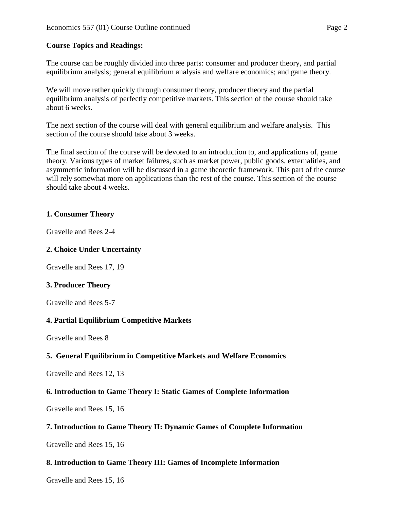## **Course Topics and Readings:**

The course can be roughly divided into three parts: consumer and producer theory, and partial equilibrium analysis; general equilibrium analysis and welfare economics; and game theory.

We will move rather quickly through consumer theory, producer theory and the partial equilibrium analysis of perfectly competitive markets. This section of the course should take about 6 weeks.

The next section of the course will deal with general equilibrium and welfare analysis. This section of the course should take about 3 weeks.

The final section of the course will be devoted to an introduction to, and applications of, game theory. Various types of market failures, such as market power, public goods, externalities, and asymmetric information will be discussed in a game theoretic framework. This part of the course will rely somewhat more on applications than the rest of the course. This section of the course should take about 4 weeks.

# **1. Consumer Theory**

Gravelle and Rees 2-4

# **2. Choice Under Uncertainty**

Gravelle and Rees 17, 19

## **3. Producer Theory**

Gravelle and Rees 5-7

## **4. Partial Equilibrium Competitive Markets**

Gravelle and Rees 8

## **5. General Equilibrium in Competitive Markets and Welfare Economics**

Gravelle and Rees 12, 13

# **6. Introduction to Game Theory I: Static Games of Complete Information**

Gravelle and Rees 15, 16

## **7. Introduction to Game Theory II: Dynamic Games of Complete Information**

Gravelle and Rees 15, 16

## **8. Introduction to Game Theory III: Games of Incomplete Information**

Gravelle and Rees 15, 16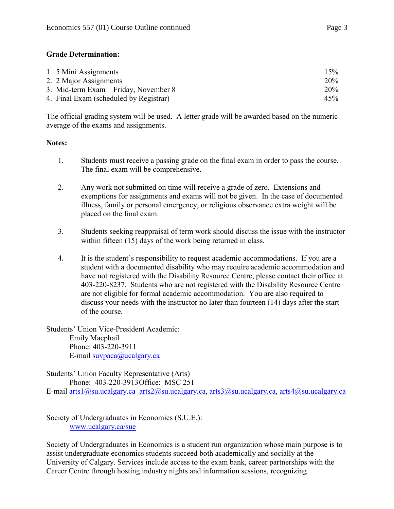# **Grade Determination:**

| 1. 5 Mini Assignments                  | 15% |
|----------------------------------------|-----|
| 2. 2 Major Assignments                 | 20% |
| 3. Mid-term Exam – Friday, November 8  | 20% |
| 4. Final Exam (scheduled by Registrar) | 45% |

The official grading system will be used. A letter grade will be awarded based on the numeric average of the exams and assignments.

## **Notes:**

- 1. Students must receive a passing grade on the final exam in order to pass the course. The final exam will be comprehensive.
- 2. Any work not submitted on time will receive a grade of zero. Extensions and exemptions for assignments and exams will not be given. In the case of documented illness, family or personal emergency, or religious observance extra weight will be placed on the final exam.
- 3. Students seeking reappraisal of term work should discuss the issue with the instructor within fifteen (15) days of the work being returned in class.
- 4. It is the student's responsibility to request academic accommodations. If you are a student with a documented disability who may require academic accommodation and have not registered with the Disability Resource Centre, please contact their office at 403-220-8237. Students who are not registered with the Disability Resource Centre are not eligible for formal academic accommodation. You are also required to discuss your needs with the instructor no later than fourteen (14) days after the start of the course.

Students' Union Vice-President Academic: Emily Macphail Phone: 403-220-3911 E-mail [suvpaca@ucalgary.ca](mailto:subpaca@ucalgary.ca)

Students' Union Faculty Representative (Arts) Phone: 403-220-3913Office: MSC 251 E-mail [arts1@su.ucalgary.ca](mailto:arts1@su.ucalgary.ca) [arts2@su.ucalgary.ca,](mailto:arts2@su.ucalgary.ca) [arts3@su.ucalgary.ca,](mailto:arts3@su.ucalgary.ca) [arts4@su.ucalgary.ca](mailto:arts4@su.ucalgary.ca)

Society of Undergraduates in Economics (S.U.E.): [www.ucalgary.ca/sue](http://www.fp.ucalgary.ca/econ)

Society of Undergraduates in Economics is a student run organization whose main purpose is to assist undergraduate economics students succeed both academically and socially at the University of Calgary. Services include access to the exam bank, career partnerships with the Career Centre through hosting industry nights and information sessions, recognizing